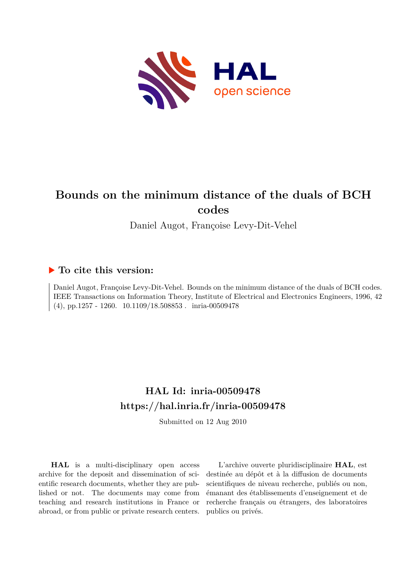

# **Bounds on the minimum distance of the duals of BCH codes**

Daniel Augot, Françoise Levy-Dit-Vehel

### **To cite this version:**

Daniel Augot, Françoise Levy-Dit-Vehel. Bounds on the minimum distance of the duals of BCH codes. IEEE Transactions on Information Theory, Institute of Electrical and Electronics Engineers, 1996, 42 (4), pp.1257 - 1260.  $10.1109/18.508853$ . inria-00509478

# **HAL Id: inria-00509478 <https://hal.inria.fr/inria-00509478>**

Submitted on 12 Aug 2010

**HAL** is a multi-disciplinary open access archive for the deposit and dissemination of scientific research documents, whether they are published or not. The documents may come from teaching and research institutions in France or abroad, or from public or private research centers.

L'archive ouverte pluridisciplinaire **HAL**, est destinée au dépôt et à la diffusion de documents scientifiques de niveau recherche, publiés ou non, émanant des établissements d'enseignement et de recherche français ou étrangers, des laboratoires publics ou privés.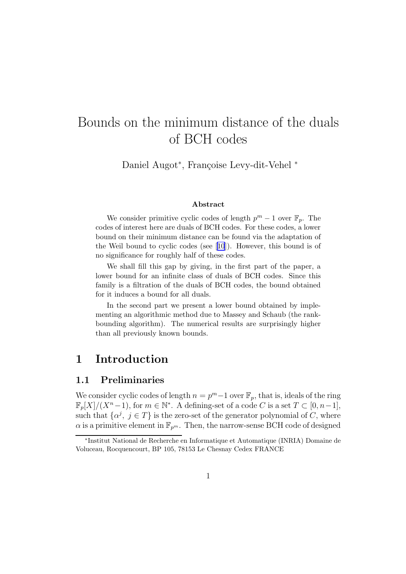# Bounds on the minimum distance of the duals of BCH codes

Daniel Augot\*, Françoise Levy-dit-Vehel \*

#### Abstract

We consider primitive cyclic codes of length  $p^m - 1$  over  $\mathbb{F}_p$ . The codes of interest here are duals of BCH codes. For these codes, a lower bound on their minimum distance can be found via the adaptation of the Weil bound to cyclic codes (see[[10](#page-13-0)]). However, this bound is of no significance for roughly half of these codes.

We shall fill this gap by giving, in the first part of the paper, a lower bound for an infinite class of duals of BCH codes. Since this family is a filtration of the duals of BCH codes, the bound obtained for it induces a bound for all duals.

In the second part we present a lower bound obtained by implementing an algorithmic method due to Massey and Schaub (the rankbounding algorithm). The numerical results are surprisingly higher than all previously known bounds.

## 1 Introduction

#### 1.1 Preliminaries

We consider cyclic codes of length  $n = p<sup>m</sup>-1$  over  $\mathbb{F}_p$ , that is, ideals of the ring  $\mathbb{F}_p[X]/(X^n-1)$ , for  $m \in \mathbb{N}^*$ . A defining-set of a code C is a set  $T \subset [0, n-1]$ , such that  $\{\alpha^j, j \in T\}$  is the zero-set of the generator polynomial of C, where  $\alpha$  is a primitive element in  $\mathbb{F}_{p^m}$ . Then, the narrow-sense BCH code of designed

<sup>∗</sup> Institut National de Recherche en Informatique et Automatique (INRIA) Domaine de Voluceau, Rocquencourt, BP 105, 78153 Le Chesnay Cedex FRANCE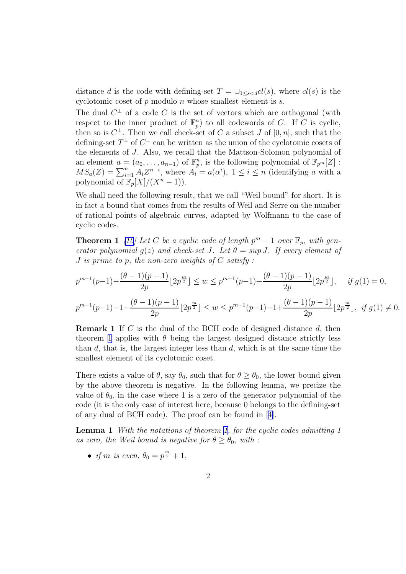<span id="page-2-0"></span>distance d is the code with defining-set  $T = \bigcup_{1 \leq s \leq d} cl(s)$ , where  $cl(s)$  is the cyclotomic coset of  $p$  modulo  $n$  whose smallest element is  $s$ .

The dual  $C^{\perp}$  of a code C is the set of vectors which are orthogonal (with respect to the inner product of  $\mathbb{F}_p^n$  to all codewords of C. If C is cyclic, then so is  $C^{\perp}$ . Then we call check-set of C a subset J of  $[0, n]$ , such that the defining-set  $T^{\perp}$  of  $C^{\perp}$  can be written as the union of the cyclotomic cosets of the elements of J. Also, we recall that the Mattson-Solomon polynomial of an element  $a = (a_0, \ldots, a_{n-1})$  of  $\mathbb{F}_p^n$ , is the following polynomial of  $\mathbb{F}_{p^m}[Z]$ :  $MS_a(Z) = \sum_{i=1}^n A_i Z^{n-i}$ , where  $A_i = a(\alpha^i)$ ,  $1 \leq i \leq n$  (identifying a with a polynomial of  $\mathbb{F}_p[X]/(X^n-1)$ .

We shall need the following result, that we call "Weil bound" for short. It is in fact a bound that comes from the results of Weil and Serre on the number of rational points of algebraic curves, adapted by Wolfmann to the case of cyclic codes.

**Theorem 1** [\[10\]](#page-13-0) Let C be a cyclic code of length  $p^m - 1$  over  $\mathbb{F}_p$ , with gen*erator polynomial*  $g(z)$  *and check-set J.* Let  $\theta = \sup J$ . If every element of J *is prime to* p*, the non-zero weights of* C *satisfy :*

$$
p^{m-1}(p-1) - \frac{(\theta - 1)(p-1)}{2p} \lfloor 2p^{\frac{m}{2}} \rfloor \le w \le p^{m-1}(p-1) + \frac{(\theta - 1)(p-1)}{2p} \lfloor 2p^{\frac{m}{2}} \rfloor, \quad \text{if } g(1) = 0,
$$
  

$$
p^{m-1}(p-1) - 1 - \frac{(\theta - 1)(p-1)}{2p} \lfloor 2p^{\frac{m}{2}} \rfloor \le w \le p^{m-1}(p-1) - 1 + \frac{(\theta - 1)(p-1)}{2p} \lfloor 2p^{\frac{m}{2}} \rfloor, \quad \text{if } g(1) \ne 0.
$$

**Remark 1** If C is the dual of the BCH code of designed distance  $d$ , then theorem 1 applies with  $\theta$  being the largest designed distance strictly less than  $d$ , that is, the largest integer less than  $d$ , which is at the same time the smallest element of its cyclotomic coset.

There exists a value of  $\theta$ , say  $\theta_0$ , such that for  $\theta \ge \theta_0$ , the lower bound given by the above theorem is negative. In the following lemma, we precize the value of  $\theta_0$ , in the case where 1 is a zero of the generator polynomial of the code (it is the only case of interest here, because 0 belongs to the defining-set of any dual of BCH code). The proof can be found in[[4\]](#page-13-0).

Lemma 1 *With the notations of theorem 1, for the cyclic codes admitting 1 as zero, the Weil bound is negative for*  $\theta \geq \theta_0$ *, with :* 

• *if m is even,*  $\theta_0 = p^{\frac{m}{2}} + 1$ *,*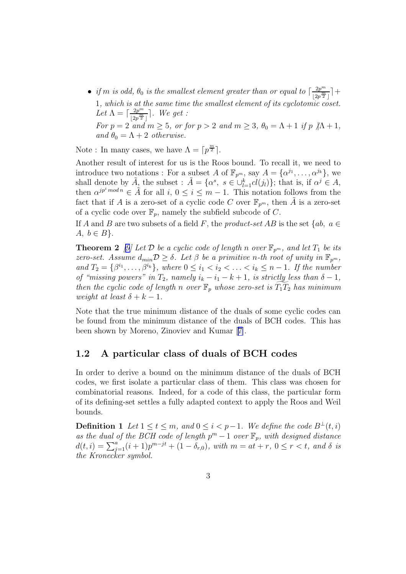• *if* m *is odd,*  $\theta_0$  *is the smallest element greater than or equal to*  $\left\lceil \frac{2p^m}{12m^m}\right\rceil$  $\frac{2p^m}{\lfloor 2p^{\frac{m}{2}}\rfloor}$  +  $\boxed{2}$ 1*, which is at the same time the smallest element of its cyclotomic coset.*  $\text{Let } \Lambda = \lceil \frac{2p^m}{\ln \frac{m}{\lambda}} \rceil$  $\frac{2p^m}{\lfloor 2p^{\frac{m}{2}}\rfloor}$ . We get : *For*  $p = 2$  *and*  $m \ge 5$ *, or for*  $p > 2$  *and*  $m \ge 3$ ,  $\theta_0 = \Lambda + 1$  *if*  $p \not | \Lambda + 1$ , *and*  $\theta_0 = \Lambda + 2$  *otherwise.* 

Note : In many cases, we have  $\Lambda = \lceil p^{\frac{m}{2}} \rceil$ .

Another result of interest for us is the Roos bound. To recall it, we need to introduce two notations : For a subset A of  $\mathbb{F}_{p^m}$ , say  $A = {\alpha^{j_1}, \ldots, \alpha^{j_k}}$ , we shall denote by  $\tilde{A}_z$  the subset :  $\tilde{A} = \{ \alpha^s, s \in \bigcup_{l=1}^k cl(j_l) \};$  that is, if  $\alpha^j \in A$ , then  $\alpha^{jp^i \mod n} \in \hat{A}$  for all  $i, 0 \leq i \leq m-1$ . This notation follows from the fact that if A is a zero-set of a cyclic code C over  $\mathbb{F}_{p^m}$ , then  $\tilde{A}$  is a zero-set of a cyclic code over  $\mathbb{F}_p$ , namely the subfield subcode of C.

If A and B are two subsets of a field F, the *product-set* AB is the set  $\{ab, a \in$  $A, b \in B$ .

**Theorem 2** [\[9\]](#page-13-0) Let D be a cyclic code of length n over  $\mathbb{F}_{p^m}$ , and let  $T_1$  be its *zero-set.* Assume  $d_{min} \mathcal{D} \geq \delta$ . Let  $\beta$  be a primitive n-th root of unity in  $\mathbb{F}_{p^m}$ ,  $and T_2 = \{\beta^{i_1}, \ldots, \beta^{i_k}\}, where 0 \leq i_1 < i_2 < \ldots < i_k \leq n-1$ . If the number *of "missing powers" in*  $T_2$ *, namely*  $i_k - i_1 - k + 1$ *, is strictly less than*  $\delta - 1$ *, then the cyclic code of length* n *over*  $\mathbb{F}_p$  *whose zero-set is*  $T_1T_2$  *has minimum weight at least*  $\delta + k - 1$ .

Note that the true minimum distance of the duals of some cyclic codes can be found from the minimum distance of the duals of BCH codes. This has been shown by Moreno, Zinoviev and Kumar[[7\]](#page-13-0).

#### 1.2 A particular class of duals of BCH codes

In order to derive a bound on the minimum distance of the duals of BCH codes, we first isolate a particular class of them. This class was chosen for combinatorial reasons. Indeed, for a code of this class, the particular form of its defining-set settles a fully adapted context to apply the Roos and Weil bounds.

**Definition 1** *Let*  $1 \le t \le m$ *, and*  $0 \le i < p-1$ *. We define the code*  $B^{\perp}(t, i)$ as the dual of the BCH code of length  $p^m - 1$  over  $\mathbb{F}_p$ , with designed distance  $d(t, i) = \sum_{j=1}^{a} (i+1)p^{m-jt} + (1-\delta_{r,0}), \text{ with } m = at+r, 0 \le r < t, \text{ and } \delta \text{ is}$ *the Kronecker symbol.*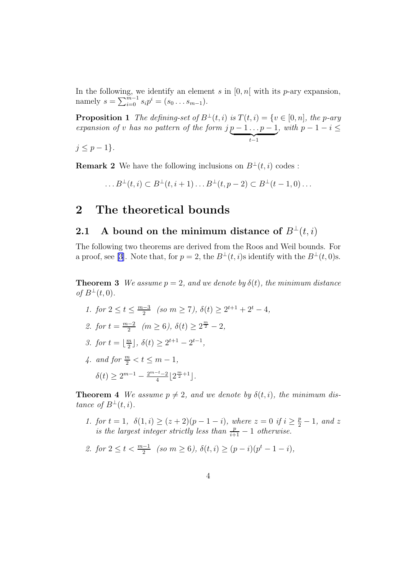<span id="page-4-0"></span>In the following, we identify an element s in  $[0, n]$  with its p-ary expansion, namely  $s = \sum_{i=0}^{m-1} s_i p^i = (s_0 \dots s_{m-1}).$ 

**Proposition 1** *The defining-set of*  $B^{\perp}(t, i)$  *is*  $T(t, i) = \{v \in [0, n], \text{ the } p\text{-ary}\}$ *expansion of* v *has no pattern of the form*  $j p - 1 \ldots p - 1$  ${t-1}$ *, with*  $p - 1 - i \leq$ 

 $j \leq p-1$ }.

**Remark 2** We have the following inclusions on  $B^{\perp}(t, i)$  codes :

...  $B^{\perp}(t, i) \subset B^{\perp}(t, i + 1) \dots B^{\perp}(t, p - 2) \subset B^{\perp}(t - 1, 0) \dots$ 

### 2 The theoretical bounds

#### 2.1 A bound on the minimum distance of  $B^{\perp}(t, i)$

The following two theorems are derived from the Roos and Weil bounds. For a proof, see [\[3\]](#page-13-0). Note that, for  $p = 2$ , the  $B^{\perp}(t, i)$ s identify with the  $B^{\perp}(t, 0)$ s.

**Theorem 3** *We assume*  $p = 2$ *, and we denote by*  $\delta(t)$ *, the minimum distance of*  $B^{\perp}(t,0)$ .

- *1.* for  $2 \le t \le \frac{m-3}{2}$  $\frac{1}{2}$  (so  $m \ge 7$ ),  $\delta(t) \ge 2^{t+1} + 2^t - 4$ ,
- 2. for  $t = \frac{m-2}{2}$  $\frac{(-2)}{2}$   $(m \ge 6), \delta(t) \ge 2^{\frac{m}{2}} - 2,$
- *3. for*  $t = \lfloor \frac{m}{2} \rfloor$  $\frac{m}{2}$ ,  $\delta(t) \ge 2^{t+1} - 2^{t-1}$ ,
- *4.* and for  $\frac{m}{2} < t \le m 1$ ,  $\delta(t) \geq 2^{m-1} - \frac{2^{m-t}-2}{4}$  $\frac{1-t-2}{4} \left\lfloor 2^{\frac{m}{2}+1} \right\rfloor$ .

**Theorem 4** *We assume*  $p \neq 2$ *, and we denote by*  $\delta(t, i)$ *, the minimum distance* of  $B^{\perp}(t, i)$ *.* 

- *1. for*  $t = 1$ ,  $\delta(1, i) \geq (z + 2)(p 1 i)$ , where  $z = 0$  if  $i \geq \frac{p}{2} 1$ , and z *is the largest integer strictly less than*  $\frac{p}{i+1} - 1$  *otherwise.*
- 2. for  $2 \le t < \frac{m-1}{2}$  (so  $m \ge 6$ ),  $\delta(t, i) \ge (p-i)(p^t 1 i)$ ,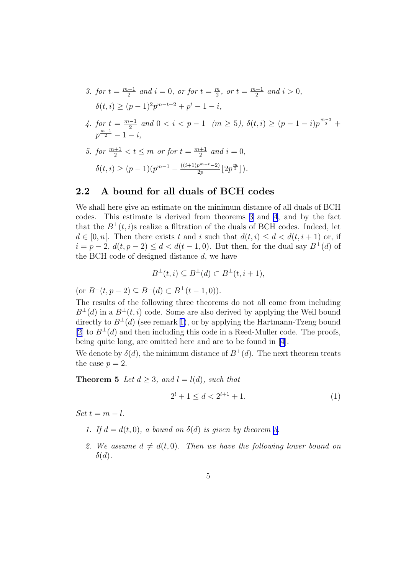- <span id="page-5-0"></span>*3.* for  $t = \frac{m-1}{2}$  $\frac{n-1}{2}$  and  $i = 0$ , or for  $t = \frac{m}{2}$  $\frac{m}{2}$ *, or*  $t = \frac{m+1}{2}$  $\frac{a+1}{2}$  *and*  $i > 0$ *,*  $\delta(t, i) \ge (p-1)^2 p^{m-t-2} + p^t - 1 - i,$
- 4. for  $t = \frac{m-1}{2}$  $\frac{-1}{2}$  and  $0 < i < p - 1$  ( $m \ge 5$ ),  $\delta(t, i) \ge (p - 1 - i)p^{\frac{m-3}{2}} +$  $p^{\frac{m-1}{2}}-1-i,$
- *5. for*  $\frac{m+1}{2} < t \leq m$  *or for*  $t = \frac{m+1}{2}$  $\frac{+1}{2}$  and  $i = 0$ ,  $\delta(t, i) \ge (p-1)(p^{m-1} - \frac{((i+1)p^{m-t}-2)}{2n})$  $\frac{p^{m-t}-2)}{2p}\left[2p^{\frac{m}{2}}\right]\big).$

#### 2.2 A bound for all duals of BCH codes

We shall here give an estimate on the minimum distance of all duals of BCH codes. This estimate is derived from theorems [3](#page-4-0) and [4](#page-4-0), and by the fact that the  $B^{\perp}(t, i)$ s realize a filtration of the duals of BCH codes. Indeed, let  $d \in [0, n]$ . Then there exists t and i such that  $d(t, i) \leq d < d(t, i + 1)$  or, if  $i = p - 2$ ,  $d(t, p - 2) \le d < d(t - 1, 0)$ . But then, for the dual say  $B^{\perp}(d)$  of the BCH code of designed distance  $d$ , we have

$$
B^{\perp}(t,i) \subseteq B^{\perp}(d) \subset B^{\perp}(t,i+1),
$$

(or  $B^{\perp}(t, p-2) \subset B^{\perp}(d) \subset B^{\perp}(t-1, 0)$ ).

The results of the following three theorems do not all come from including  $B^{\perp}(d)$  in a  $B^{\perp}(t, i)$  code. Some are also derived by applying the Weil bound directly to  $B^{\perp}(d)$  (see remark [1\)](#page-2-0), or by applying the Hartmann-Tzeng bound [\[2](#page-12-0)] to  $B^{\perp}(d)$  and then including this code in a Reed-Muller code. The proofs, being quite long, are omitted here and are to be found in [\[4](#page-13-0)].

We denote by  $\delta(d)$ , the minimum distance of  $B^{\perp}(d)$ . The next theorem treats the case  $p = 2$ .

**Theorem 5** *Let*  $d \geq 3$ *, and*  $l = l(d)$ *, such that* 

$$
2^l + 1 \le d < 2^{l+1} + 1. \tag{1}
$$

 $Set t = m - l$ .

- *1.* If  $d = d(t, 0)$ , a bound on  $\delta(d)$  is given by theorem [3.](#page-4-0)
- 2. We assume  $d \neq d(t, 0)$ . Then we have the following lower bound on  $\delta(d)$ .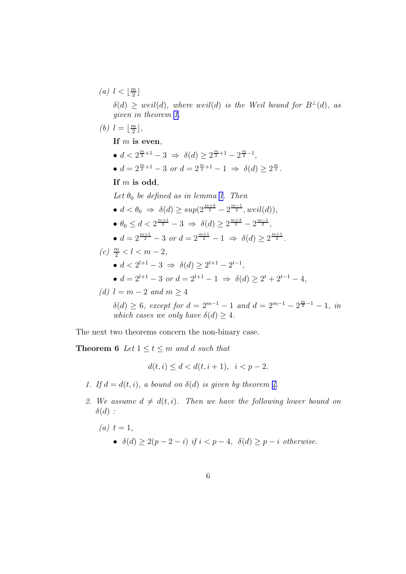<span id="page-6-0"></span>(a)  $l < \lfloor \frac{m}{2} \rfloor$  $\frac{n}{2}$ 

> $\delta(d) \geq$  weil(d), where weil(d) is the Weil bound for  $B^{\perp}(d)$ , as *given in theorem [1.](#page-2-0)*

(b)  $l = \lfloor \frac{m}{2} \rfloor$  $\frac{n}{2}$ ,

If m is even*,*

- $d < 2^{\frac{m}{2}+1} 3 \Rightarrow \delta(d) \geq 2^{\frac{m}{2}+1} 2^{\frac{m}{2}-1},$
- $d = 2^{\frac{m}{2}+1} 3$  *or*  $d = 2^{\frac{m}{2}+1} 1 \Rightarrow \delta(d) \geq 2^{\frac{m}{2}}$ .

If m is odd*,*

 $Let  $\theta_0$  be defined as in lemma 1. Then$  $Let  $\theta_0$  be defined as in lemma 1. Then$  $Let  $\theta_0$  be defined as in lemma 1. Then$ 

- $d < \theta_0 \Rightarrow \delta(d) \ge \sup(2^{\frac{m+3}{2}} 2^{\frac{m-1}{2}}, well(d)),$ •  $\theta_0 \leq d < 2^{\frac{m+1}{2}} - 3 \Rightarrow \delta(d) \geq 2^{\frac{m+3}{2}} - 2^{\frac{m-1}{2}},$
- $d = 2^{\frac{m+1}{2}} 3$  *or*  $d = 2^{\frac{m+1}{2}} 1 \Rightarrow \delta(d) \geq 2^{\frac{m+1}{2}}$ .

$$
(c) \ \frac{m}{2} < l < m-2,
$$

- $d < 2^{l+1} 3 \Rightarrow \delta(d) \geq 2^{t+1} 2^{t-1},$
- $d = 2^{l+1} 3$  *or*  $d = 2^{l+1} 1 \Rightarrow \delta(d) \ge 2^t + 2^{t-1} 4$ ,
- *(d)*  $l = m 2$  *and*  $m > 4$

 $\delta(d) \geq 6$ , except for  $d = 2^{m-1} - 1$  and  $d = 2^{m-1} - 2^{\frac{m}{2} - 1} - 1$ , in *which cases we only have*  $\delta(d) \geq 4$ *.* 

The next two theorems concern the non-binary case.

**Theorem 6** Let  $1 \le t \le m$  and d such that

$$
d(t, i) \le d < d(t, i + 1), \ \ i < p - 2.
$$

- *1.* If  $d = d(t, i)$ , a bound on  $\delta(d)$  is given by theorem [4.](#page-4-0)
- 2. We assume  $d \neq d(t, i)$ . Then we have the following lower bound on  $\delta(d)$ :
	- $(a)$   $t = 1$ , •  $\delta(d) > 2(p-2-i)$  *if*  $i < p-4$ ,  $\delta(d) \geq p-i$  *otherwise.*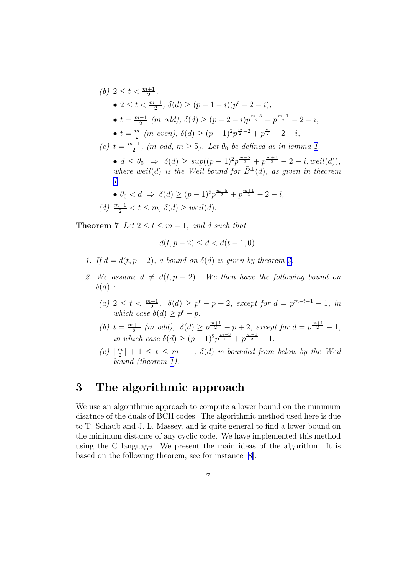<span id="page-7-0"></span>(b) 
$$
2 \le t < \frac{m+1}{2}
$$
,  
\n•  $2 \le t < \frac{m-1}{2}$ ,  $\delta(d) \ge (p-1-i)(p^t-2-i)$ ,  
\n•  $t = \frac{m-1}{2}$  (*m* odd),  $\delta(d) \ge (p-2-i)p^{\frac{m-3}{2}} + p^{\frac{m-1}{2}} - 2 - i$ ,  
\n•  $t = \frac{m}{2}$  (*m* even),  $\delta(d) \ge (p-1)^2 p^{\frac{m}{2}-2} + p^{\frac{m}{2}} - 2 - i$ ,  
\n(c)  $t = \frac{m+1}{2}$ , (*m* odd,  $m \ge 5$ ). Let  $\theta_0$  be defined as in lemma 1.  
\n•  $d \le \theta_0 \Rightarrow \delta(d) \ge \sup((p-1)^2 p^{\frac{m-5}{2}} + p^{\frac{m+1}{2}} - 2 - i, \text{weil}(d))$ ,  
\nwhere weil(d) is the Weil bound for  $\bar{B}^{\perp}(d)$ , as given in theorem 1.  
\n•  $\theta_0 < d \Rightarrow \delta(d) \ge (p-1)^2 p^{\frac{m-5}{2}} + p^{\frac{m+1}{2}} - 2 - i$ ,  
\n(d)  $\frac{m+1}{2} < t \le m$ ,  $\delta(d) \ge \text{weil}(d)$ .

**Theorem 7** *Let*  $2 \le t \le m - 1$ *, and d such that* 

$$
d(t, p - 2) \le d < d(t - 1, 0).
$$

- *1.* If  $d = d(t, p 2)$ , a bound on  $\delta(d)$  is given by theorem [4](#page-4-0).
- 2. We assume  $d \neq d(t, p 2)$ . We then have the following bound on  $\delta(d)$ :
	- $(a)$  2 ≤ t <  $\frac{m+1}{2}$ ,  $\delta(d)$  ≥ p<sup>t</sup> − p + 2*, except for*  $d = p^{m-t+1} 1$ *, in which case*  $\delta(d) \geq p^t - p$ .
	- *(b)*  $t = \frac{m+1}{2}$  $\frac{p+1}{2}$  (*m odd*),  $\delta(d) \geq p^{\frac{m+1}{2}} - p + 2$ , except for  $d = p^{\frac{m+1}{2}} - 1$ , *in which case*  $\delta(d) \ge (p-1)^2 p^{\frac{m-3}{2}} + p^{\frac{m-1}{2}} - 1$ .
	- $(c)$   $\lceil \frac{m}{2} \rceil$  $\lfloor \frac{m}{2} \rfloor + 1 \leq t \leq m - 1$ ,  $\delta(d)$  *is bounded from below by the Weil bound (theorem [1\)](#page-2-0).*

## 3 The algorithmic approach

We use an algorithmic approach to compute a lower bound on the minimum disatnce of the duals of BCH codes. The algorithmic method used here is due to T. Schaub and J. L. Massey, and is quite general to find a lower bound on the minimum distance of any cyclic code. We have implemented this method using the C language. We present the main ideas of the algorithm. It is based on the following theorem, see for instance[[8\]](#page-13-0).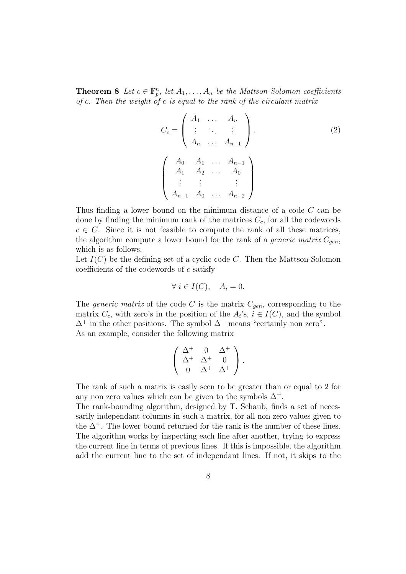**Theorem 8** Let  $c \in \mathbb{F}_p^n$ , let  $A_1, \ldots, A_n$  be the Mattson-Solomon coefficients *of* c*. Then the weight of* c *is equal to the rank of the circulant matrix*

$$
C_c = \begin{pmatrix} A_1 & \dots & A_n \\ \vdots & \ddots & \vdots \\ A_n & \dots & A_{n-1} \end{pmatrix}.
$$
  
\n
$$
\begin{pmatrix} A_0 & A_1 & \dots & A_{n-1} \\ A_1 & A_2 & \dots & A_0 \\ \vdots & \vdots & & \vdots \\ A_{n-1} & A_0 & \dots & A_{n-2} \end{pmatrix}.
$$
  
\n(2)

Thus finding a lower bound on the minimum distance of a code C can be done by finding the minimum rank of the matrices  $C_c$ , for all the codewords  $c \in C$ . Since it is not feasible to compute the rank of all these matrices, the algorithm compute a lower bound for the rank of a *generic matrix*  $C_{gen}$ , which is as follows.

Let  $I(C)$  be the defining set of a cyclic code C. Then the Mattson-Solomon coefficients of the codewords of c satisfy

$$
\forall i \in I(C), \quad A_i = 0.
$$

The *generic matrix* of the code C is the matrix  $C_{gen}$ , corresponding to the matrix  $C_c$ , with zero's in the position of the  $A_i$ 's,  $i \in I(C)$ , and the symbol  $\Delta^+$  in the other positions. The symbol  $\Delta^+$  means "certainly non zero". As an example, consider the following matrix

$$
\left(\begin{array}{ccc} \Delta^+ & 0 & \Delta^+ \\ \Delta^+ & \Delta^+ & 0 \\ 0 & \Delta^+ & \Delta^+ \end{array}\right).
$$

The rank of such a matrix is easily seen to be greater than or equal to 2 for any non zero values which can be given to the symbols  $\Delta^+$ .

The rank-bounding algorithm, designed by T. Schaub, finds a set of necessarily independant columns in such a matrix, for all non zero values given to the  $\Delta^+$ . The lower bound returned for the rank is the number of these lines. The algorithm works by inspecting each line after another, trying to express the current line in terms of previous lines. If this is impossible, the algorithm add the current line to the set of independant lines. If not, it skips to the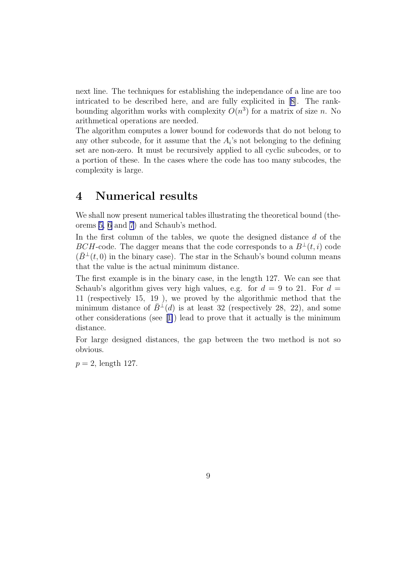next line. The techniques for establishing the independance of a line are too intricated to be described here, and are fully explicited in[[8\]](#page-13-0). The rankbounding algorithm works with complexity  $O(n^3)$  for a matrix of size n. No arithmetical operations are needed.

The algorithm computes a lower bound for codewords that do not belong to any other subcode, for it assume that the  $A_i$ 's not belonging to the defining set are non-zero. It must be recursively applied to all cyclic subcodes, or to a portion of these. In the cases where the code has too many subcodes, the complexity is large.

## 4 Numerical results

We shall now present numerical tables illustrating the theoretical bound (theorems [5,](#page-5-0) [6](#page-6-0) and [7](#page-7-0)) and Schaub's method.

In the first column of the tables, we quote the designed distance d of the BCH-code. The dagger means that the code corresponds to a  $B^{\perp}(t, i)$  code  $(\bar{B}^{\perp}(t,0))$  in the binary case). The star in the Schaub's bound column means that the value is the actual minimum distance.

The first example is in the binary case, in the length 127. We can see that Schaub's algorithm gives very high values, e.g. for  $d = 9$  to 21. For  $d =$ 11 (respectively 15, 19 ), we proved by the algorithmic method that the minimum distance of  $B^{\perp}(d)$  is at least 32 (respectively 28, 22), and some other considerations (see[[1\]](#page-12-0)) lead to prove that it actually is the minimum distance.

For large designed distances, the gap between the two method is not so obvious.

 $p = 2$ , length 127.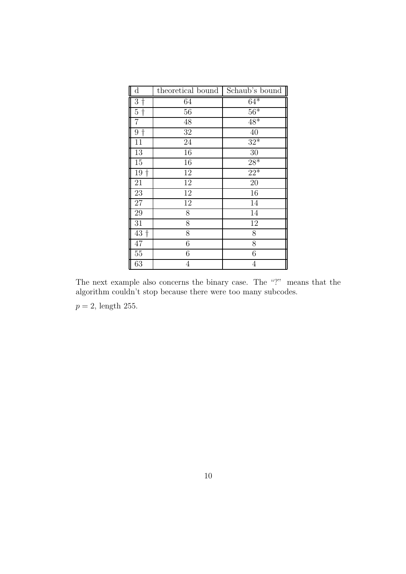| $\rm d$                      | theoretical bound | Schaub's bound    |
|------------------------------|-------------------|-------------------|
| $3\dagger$                   | 64                | $6\overline{4^*}$ |
| $\overline{5}$<br>$\ddagger$ | 56                | $56*$             |
| $\overline{7}$               | 48                | $48*$             |
| $9+$                         | 32                | 40                |
| 11                           | 24                | $32*$             |
| 13                           | 16                | 30                |
| 15                           | 16                | $28*$             |
| 19<br>$\dagger$              | 12                | $22*$             |
| 21                           | 12                | $\overline{20}$   |
| $\overline{23}$              | 12                | 16                |
| 27                           | 12                | 14                |
| 29                           | 8                 | 14                |
| 31                           | 8                 | 12                |
| $\overline{43}$ †            | $\overline{8}$    | 8                 |
| 47                           | $\overline{6}$    | $\overline{8}$    |
| 55                           | 6                 | $\sqrt{6}$        |
| 63                           | $\overline{4}$    | $\overline{4}$    |

The next example also concerns the binary case. The "?" means that the algorithm couldn't stop because there were too many subcodes.

 $p=2,$  length 255.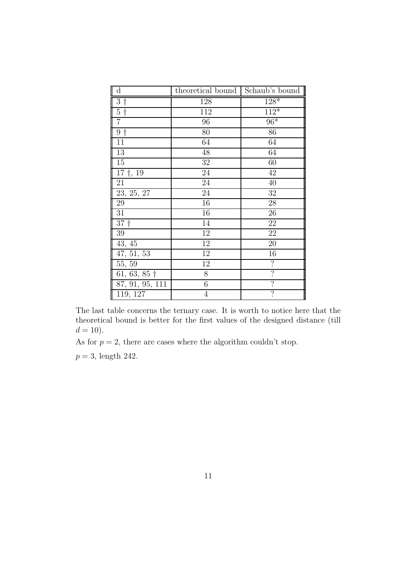| $\mathbf d$             | theoretical bound $\parallel$ Schaub's bound $\parallel$ |                          |
|-------------------------|----------------------------------------------------------|--------------------------|
| $3\dagger$              | 128                                                      | $128*$                   |
| $\overline{5}$ †        | 112                                                      | $112*$                   |
| 7                       | 96                                                       | $96*$                    |
| $9+$                    | 80                                                       | 86                       |
| 11                      | 64                                                       | 64                       |
| 13                      | $48\,$                                                   | 64                       |
| 15                      | 32                                                       | 60                       |
| $\overline{17}$ †, 19   | 24                                                       | 42                       |
| 21                      | 24                                                       | 40                       |
| $\overline{23, 25, 27}$ | 24                                                       | 32                       |
| 29                      | 16                                                       | 28                       |
| 31                      | 16                                                       | $26\,$                   |
| 37 <sup>†</sup>         | 14                                                       | 22                       |
| 39                      | 12                                                       | 22                       |
| 43, 45                  | $12\,$                                                   | 20                       |
| 47, 51, 53              | 12                                                       | 16                       |
| 55, 59                  | 12                                                       | $\overline{?}$           |
| 61, 63, 85 $\dagger$    | 8                                                        | $\overline{?}$           |
| 87, 91, 95, 111         | $\boldsymbol{6}$                                         | $\overline{\mathcal{E}}$ |
| 119, 127                | 4                                                        | $\overline{\mathcal{C}}$ |

The last table concerns the ternary case. It is worth to notice here that the theoretical bound is better for the first values of the designed distance (till  $d = 10$ ).

As for  $p = 2$ , there are cases where the algorithm couldn't stop.

 $p = 3$ , length 242.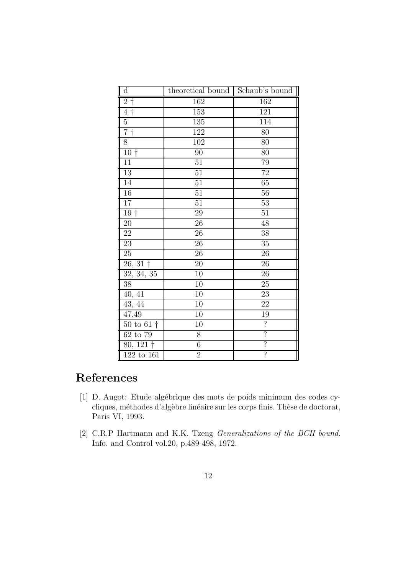<span id="page-12-0"></span>

| $\rm d$                              | theoretical bound Schaub's bound |                          |
|--------------------------------------|----------------------------------|--------------------------|
| $2\dagger$                           | 162                              | 162                      |
| $4\dagger$                           | 153                              | 121                      |
| $\overline{5}$                       | 135                              | 114                      |
| $7+$                                 | 122                              | 80                       |
| 8                                    | 102                              | 80                       |
| $\overline{1}0$ †                    | 90                               | 80                       |
| $\overline{11}$                      | $\overline{51}$                  | 79                       |
| 13                                   | $\overline{51}$                  | $\overline{72}$          |
| 14                                   | $\overline{51}$                  | 65                       |
| 16                                   | $\overline{51}$                  | $\overline{56}$          |
| 17                                   | $\overline{51}$                  | 53                       |
| $19+$                                | 29                               | 51                       |
| $20\,$                               | 26                               | 48                       |
| $\overline{22}$                      | 26                               | $\overline{38}$          |
| 23                                   | $\overline{26}$                  | 35                       |
| 25                                   | $\overline{26}$                  | 26                       |
| $26, 31\dagger$                      | $20\,$                           | 26                       |
| 32, 34, 35                           | 10                               | $\overline{26}$          |
| 38                                   | 10                               | 25                       |
| $40, \overline{41}$                  | 10                               | 23                       |
| 43, 44                               | $\overline{10}$                  | 22                       |
| 47,49                                | $\overline{10}$                  | 19                       |
| $50 \text{ to } 61 \text{ } \dagger$ | 10                               | $\overline{?}$           |
| 62 to 79                             | 8                                | $\overline{?}$           |
| $80, 121 \dagger$                    | $\overline{6}$                   | $\overline{\mathcal{C}}$ |
| 122 to 161                           | $\overline{2}$                   | $\overline{\cdot}$       |

## References

- [1] D. Augot: Etude algébrique des mots de poids minimum des codes cycliques, méthodes d'algèbre linéaire sur les corps finis. Thèse de doctorat, Paris VI, 1993.
- [2] C.R.P Hartmann and K.K. Tzeng *Generalizations of the BCH bound.* Info. and Control vol.20, p.489-498, 1972.